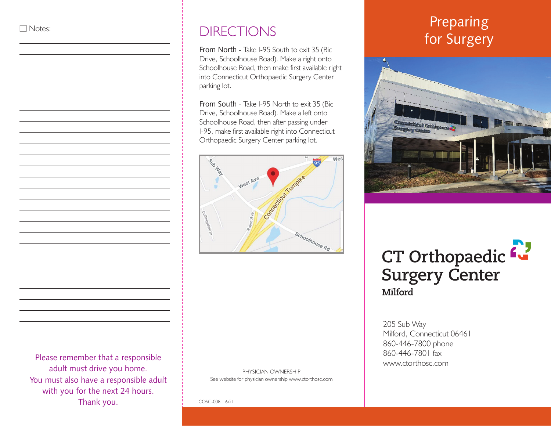## $\Box$  Notes:

 $\overline{a}$  $\overline{a}$ 

 $\overline{a}$  $\overline{a}$ 

From North - Take I-95 South to exit 35 (Bic Drive, Schoolhouse Road). Make a right onto Schoolhouse Road, then make first available right into Connecticut Orthopaedic Surgery Center parking lot.

From South - Take I-95 North to exit 35 (Bic Drive, Schoolhouse Road). Make a left onto Schoolhouse Road, then after passing under I-95, make first available right into Connecticut Orthopaedic Surgery Center parking lot.



Please remember that a responsible adult must drive you home. You must also have a responsible adult with you for the next 24 hours. Thank you.

### PHYSICIAN OWNERSHIP See website for physician ownership www.ctorthosc.com

# Preparing DIRECTIONS for Surgery



# CT Orthopaedic L **Surgery Center** Milford

205 Sub Way Milford, Connecticut 06461 860-446-7800 phone 860-446-7801 fax www.ctorthosc.com